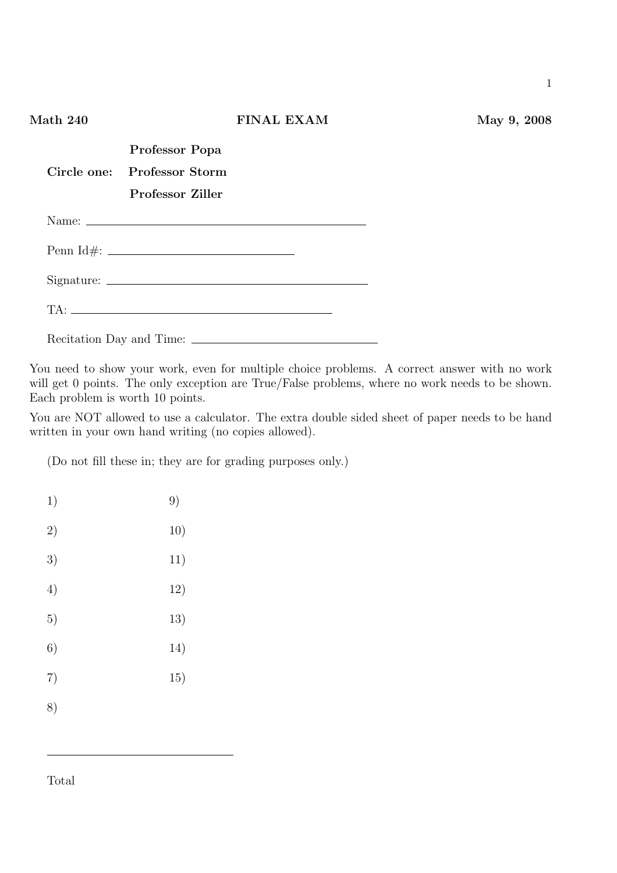| Math 240 |                                                                   | <b>FINAL EXAM</b> | May 9, 2008 |
|----------|-------------------------------------------------------------------|-------------------|-------------|
|          | Professor Popa<br>Circle one: Professor Storm<br>Professor Ziller |                   |             |
|          |                                                                   |                   |             |
|          |                                                                   |                   |             |
|          |                                                                   |                   |             |
|          |                                                                   |                   |             |
|          |                                                                   |                   |             |

You need to show your work, even for multiple choice problems. A correct answer with no work will get 0 points. The only exception are True/False problems, where no work needs to be shown. Each problem is worth 10 points.

You are NOT allowed to use a calculator. The extra double sided sheet of paper needs to be hand written in your own hand writing (no copies allowed).

(Do not fill these in; they are for grading purposes only.)

| 1) | 9)  |
|----|-----|
| 2) | 10) |
| 3) | 11) |
| 4) | 12) |
| 5) | 13) |
| 6) | 14) |
| 7) | 15) |
| 8) |     |
|    |     |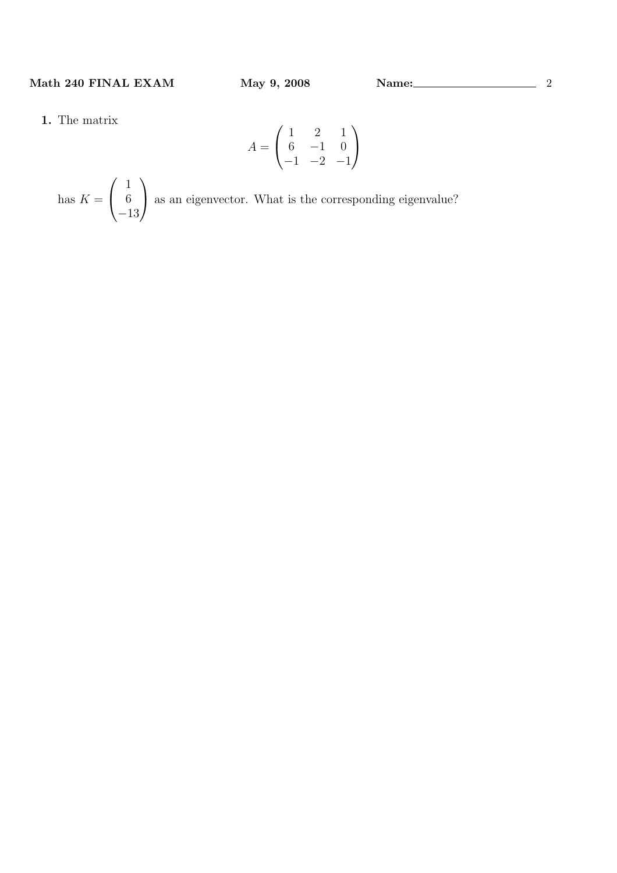1. The matrix

$$
A = \begin{pmatrix} 1 & 2 & 1 \\ 6 & -1 & 0 \\ -1 & -2 & -1 \end{pmatrix}
$$

has  $K =$  $\overline{\phantom{a}}$  $\overline{1}$ 1 6 −13  $\mathbf{r}$ as an eigenvector. What is the corresponding eigenvalue?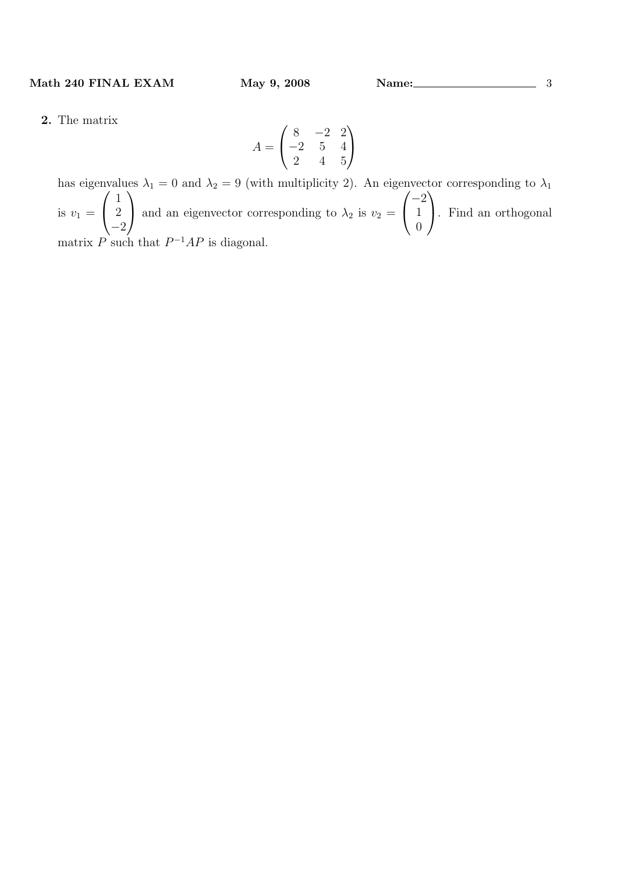2. The matrix

$$
A = \begin{pmatrix} 8 & -2 & 2 \\ -2 & 5 & 4 \\ 2 & 4 & 5 \end{pmatrix}
$$

has eigenvalues  $\lambda_1 = 0$  and  $\lambda_2 = 9$  (with multiplicity 2). An eigenvector corresponding to  $\lambda_1$ is  $v_1 =$ 1 2 −2 and an eigenvector corresponding to  $\lambda_2$  is  $v_2 =$ −2 1 0 . Find an orthogonal matrix P such that  $P^{-1}AP$  is diagonal.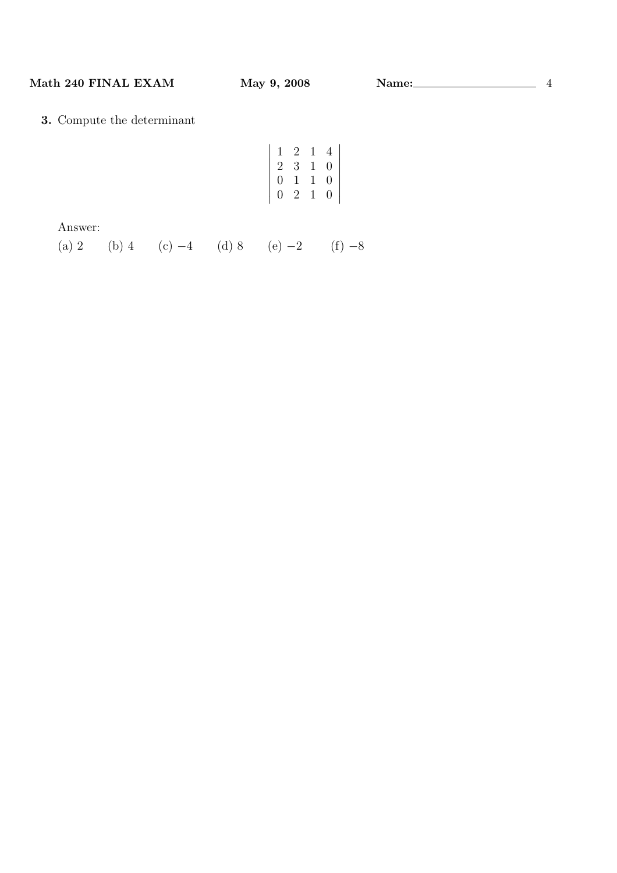# 3. Compute the determinant

| 1                | 2           | $\mathbf{1}$ | 4 |
|------------------|-------------|--------------|---|
| $\overline{2}$   | 3           | $\mathbf{1}$ | 0 |
| $\hspace{.0cm}0$ | $\mathbf 1$ | $\mathbf{1}$ | 0 |
| 0                | $\dot{2}$   | 1            | 0 |

Answer:

(a) 2 (b) 4 (c) −4 (d) 8 (e) −2 (f) −8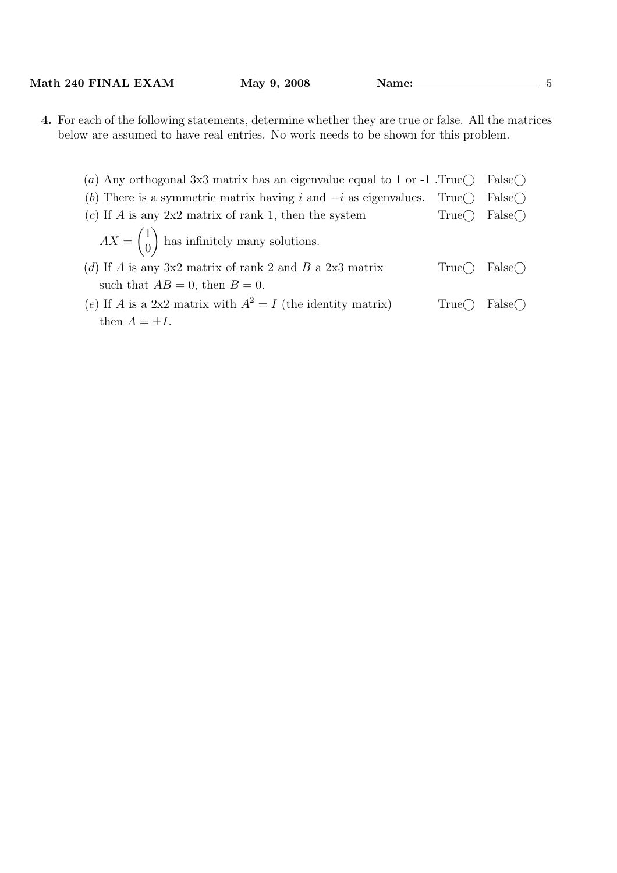| Math 240 FINAL EXAM | 2008<br>May $9,$ | 'Name: |  |
|---------------------|------------------|--------|--|
|---------------------|------------------|--------|--|

4. For each of the following statements, determine whether they are true or false. All the matrices below are assumed to have real entries. No work needs to be shown for this problem.

| (a) Any orthogonal 3x3 matrix has an eigenvalue equal to 1 or -1. True<br>False() |  |                                |
|-----------------------------------------------------------------------------------|--|--------------------------------|
| (b) There is a symmetric matrix having i and $-i$ as eigenvalues. True            |  | $False \cap$                   |
| (c) If A is any $2x2$ matrix of rank 1, then the system                           |  | True $\bigcap$ False $\bigcap$ |
| $AX = \begin{pmatrix} 1 \\ 0 \end{pmatrix}$ has infinitely many solutions.        |  |                                |
| (d) If A is any 3x2 matrix of rank 2 and B a 2x3 matrix                           |  | True() False()                 |
| such that $AB = 0$ , then $B = 0$ .                                               |  |                                |
| (e) If A is a 2x2 matrix with $A^2 = I$ (the identity matrix)                     |  | True $\bigcap$ False $\bigcap$ |
| then $A = \pm I$ .                                                                |  |                                |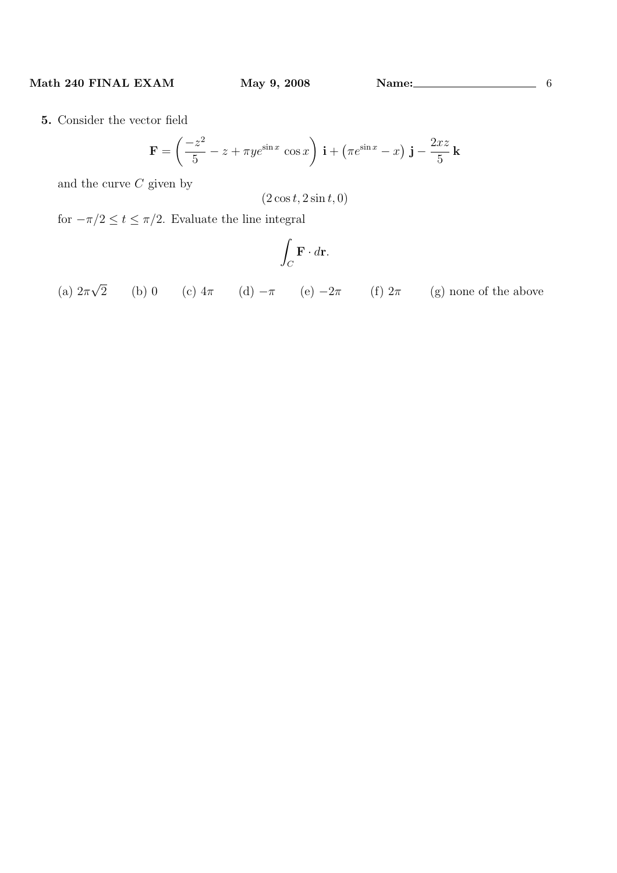5. Consider the vector field

$$
\mathbf{F} = \left(\frac{-z^2}{5} - z + \pi y e^{\sin x} \cos x\right) \mathbf{i} + \left(\pi e^{\sin x} - x\right) \mathbf{j} - \frac{2xz}{5} \mathbf{k}
$$

and the curve  $C$  given by

 $(2 \cos t, 2 \sin t, 0)$ 

for  $-\pi/2 \le t \le \pi/2$ . Evaluate the line integral

$$
\int_C \mathbf{F} \cdot d\mathbf{r}.
$$

(a)  $2\pi$ √ 2 (b) 0 (c)  $4\pi$  (d)  $-\pi$  (e)  $-2\pi$  (f)  $2\pi$  (g) none of the above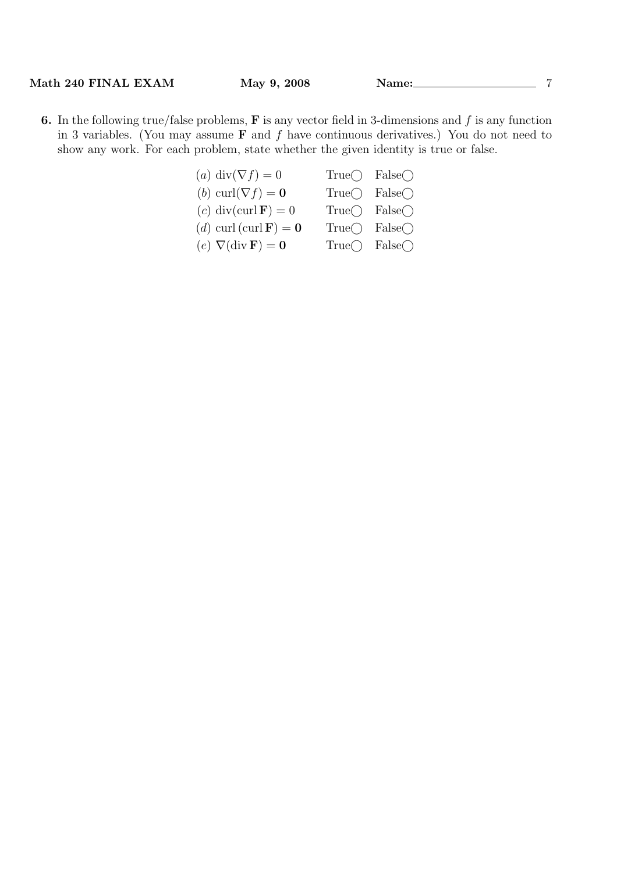- 6. In the following true/false problems,  $\bf{F}$  is any vector field in 3-dimensions and  $f$  is any function in 3 variables. (You may assume  $\bf{F}$  and  $f$  have continuous derivatives.) You do not need to show any work. For each problem, state whether the given identity is true or false.
	- (a) div( $\nabla f$ ) = 0 True $\bigcirc$  False $\bigcirc$ (b) curl( $\nabla f$ ) = 0 True $\bigcirc$  False $\bigcirc$ (c) div(curl **F**) = 0 True $\bigcap$  False $\bigcap$ (d) curl (curl **F**) = **0** True $\bigcirc$  False $\bigcirc$ (e)  $\nabla$ (div **F**) = **0** True $\bigcirc$  False $\bigcirc$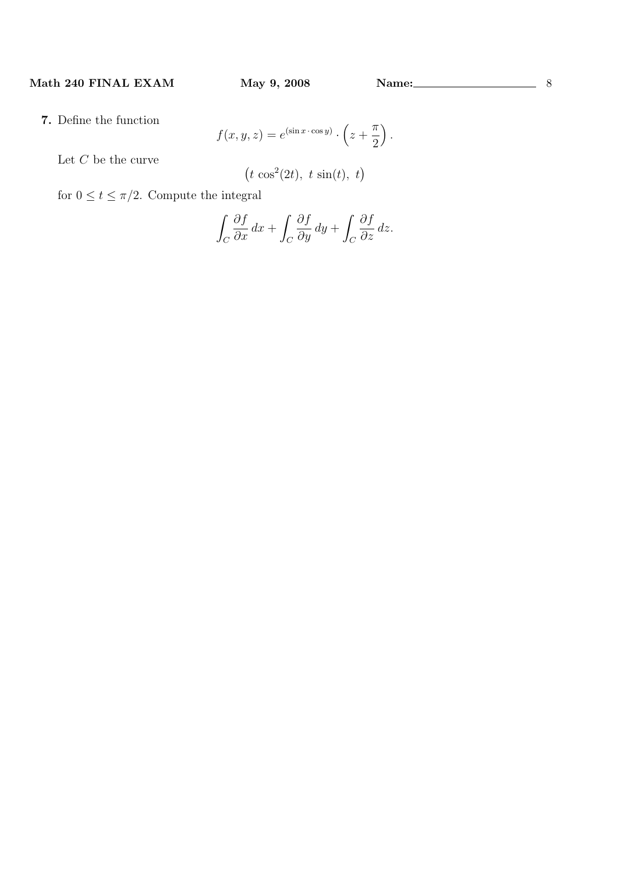7. Define the function

$$
f(x, y, z) = e^{(\sin x \cdot \cos y)} \cdot \left(z + \frac{\pi}{2}\right).
$$

Let  $C$  be the curve

$$
(t \cos^2(2t), t \sin(t), t)
$$

for  $0 \le t \le \pi/2$ . Compute the integral

$$
\int_C \frac{\partial f}{\partial x} \, dx + \int_C \frac{\partial f}{\partial y} \, dy + \int_C \frac{\partial f}{\partial z} \, dz.
$$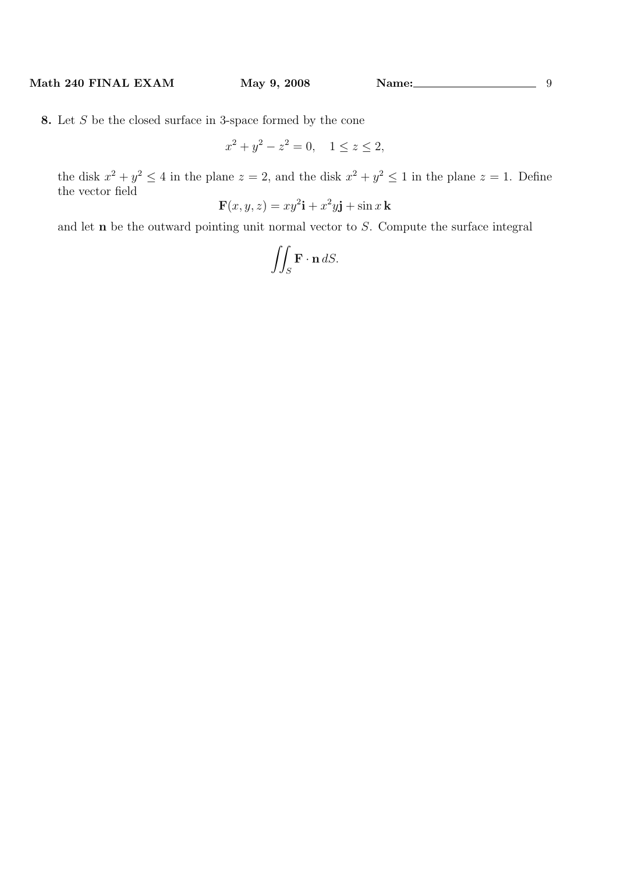8. Let S be the closed surface in 3-space formed by the cone

$$
x^2 + y^2 - z^2 = 0, \quad 1 \le z \le 2,
$$

the disk  $x^2 + y^2 \le 4$  in the plane  $z = 2$ , and the disk  $x^2 + y^2 \le 1$  in the plane  $z = 1$ . Define the vector field

$$
\mathbf{F}(x, y, z) = xy^2 \mathbf{i} + x^2 y \mathbf{j} + \sin x \mathbf{k}
$$

and let n be the outward pointing unit normal vector to S. Compute the surface integral

$$
\iint_{S} \mathbf{F} \cdot \mathbf{n} \, dS.
$$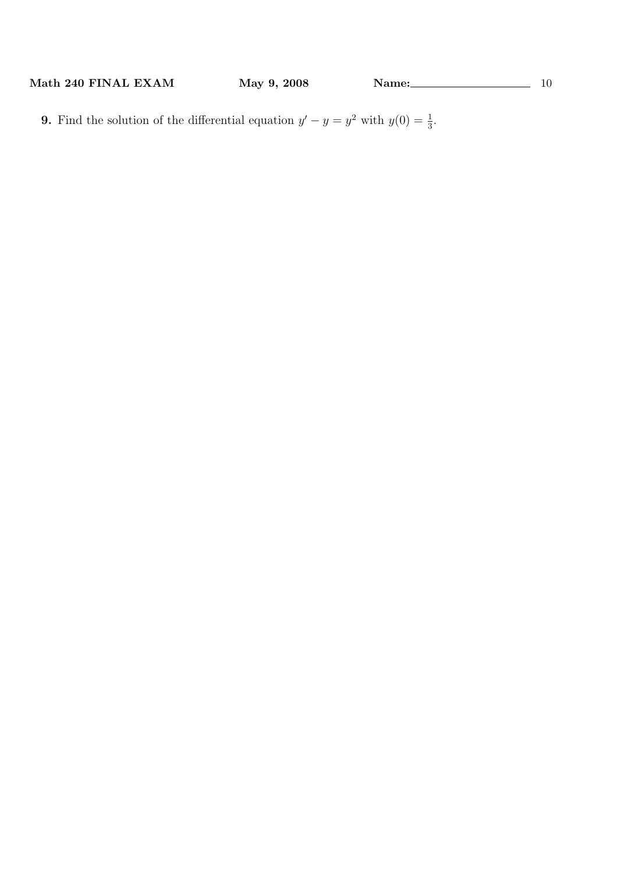**9.** Find the solution of the differential equation  $y' - y = y^2$  with  $y(0) = \frac{1}{3}$ .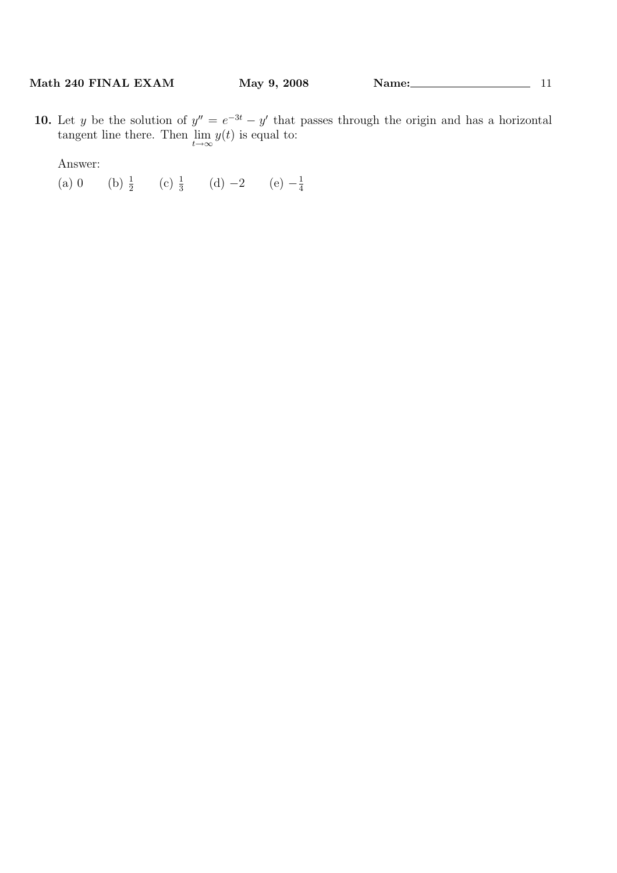10. Let y be the solution of  $y'' = e^{-3t} - y'$  that passes through the origin and has a horizontal tangent line there. Then  $\lim_{t\to\infty} y(t)$  is equal to:

Answer:

(a) 0 (b)  $\frac{1}{2}$  (c)  $\frac{1}{3}$  (d) -2 (e)  $-\frac{1}{4}$ 4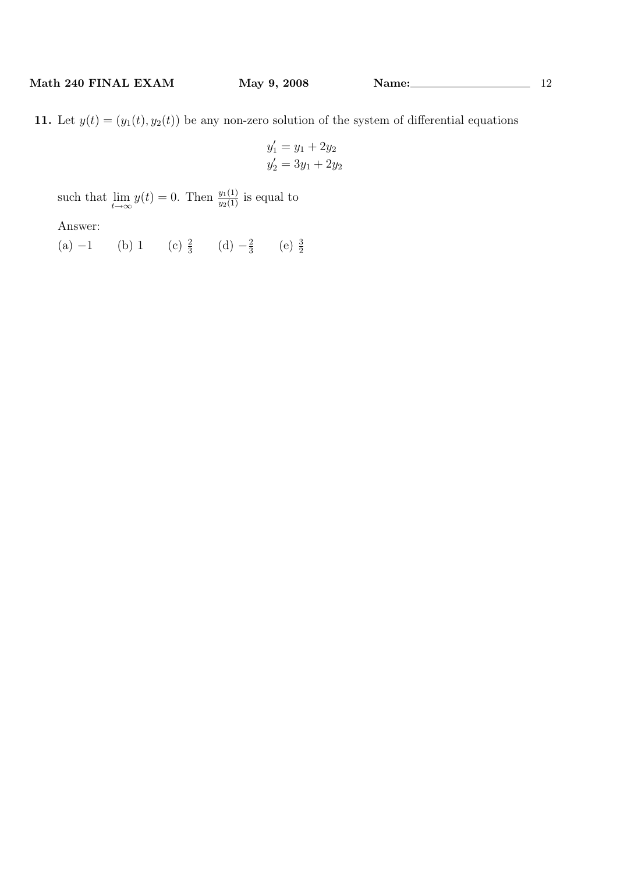$$
y_1' = y_1 + 2y_2
$$
  

$$
y_2' = 3y_1 + 2y_2
$$

such that  $\lim_{t\to\infty} y(t) = 0$ . Then  $\frac{y_1(1)}{y_2(1)}$  is equal to

Answer:

(a)  $-1$  (b) 1 (c)  $\frac{2}{3}$  (d)  $-\frac{2}{3}$  $rac{2}{3}$  (e)  $rac{3}{2}$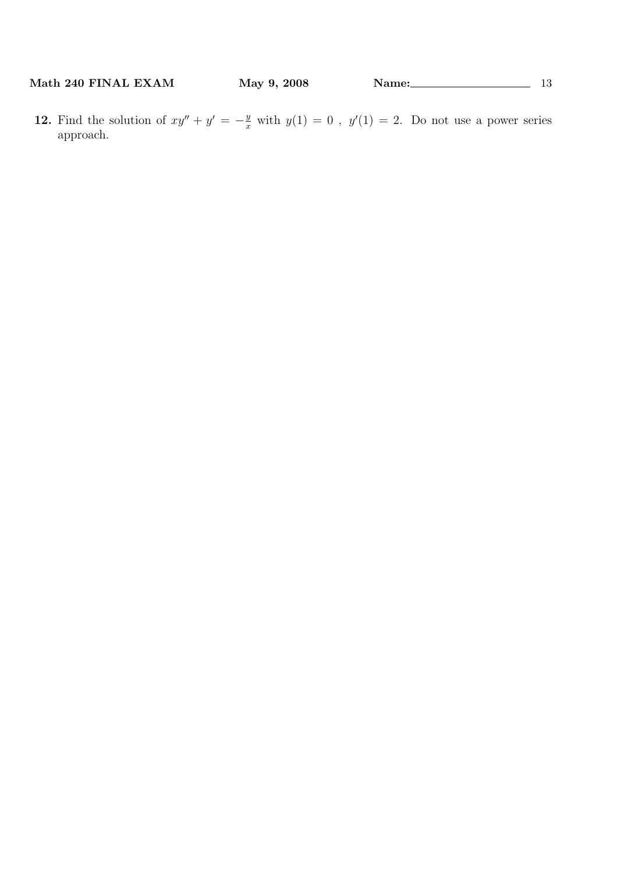12. Find the solution of  $xy'' + y' = -\frac{y}{x}$  with  $y(1) = 0$ ,  $y'(1) = 2$ . Do not use a power series approach.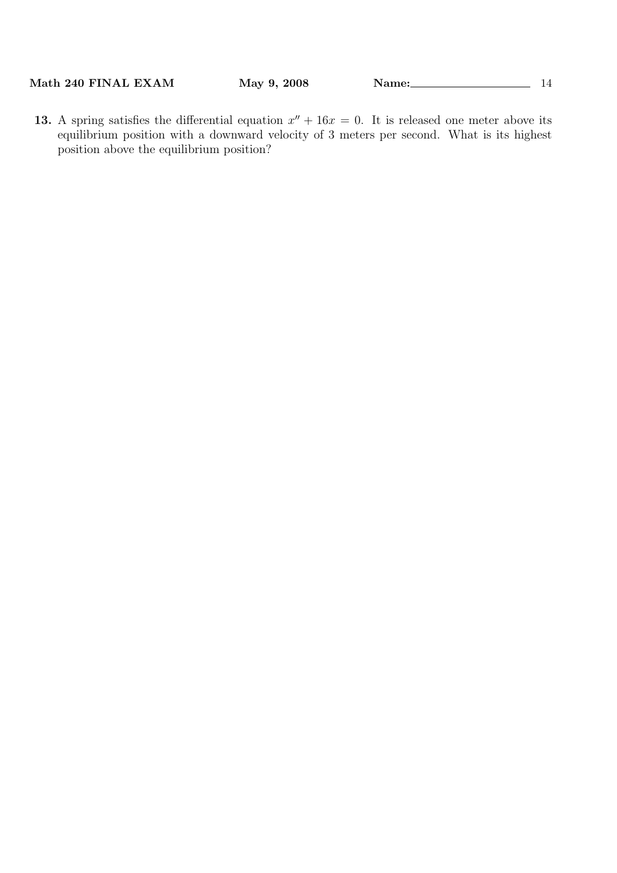13. A spring satisfies the differential equation  $x'' + 16x = 0$ . It is released one meter above its equilibrium position with a downward velocity of 3 meters per second. What is its highest position above the equilibrium position?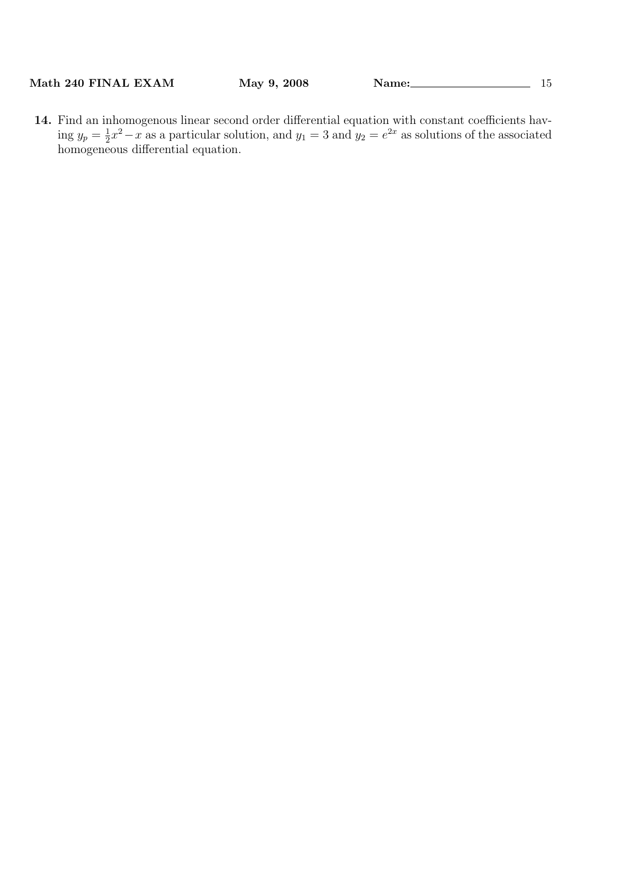14. Find an inhomogenous linear second order differential equation with constant coefficients having  $y_p = \frac{1}{2}$  $\frac{1}{2}x^2 - x$  as a particular solution, and  $y_1 = 3$  and  $y_2 = e^{2x}$  as solutions of the associated homogeneous differential equation.